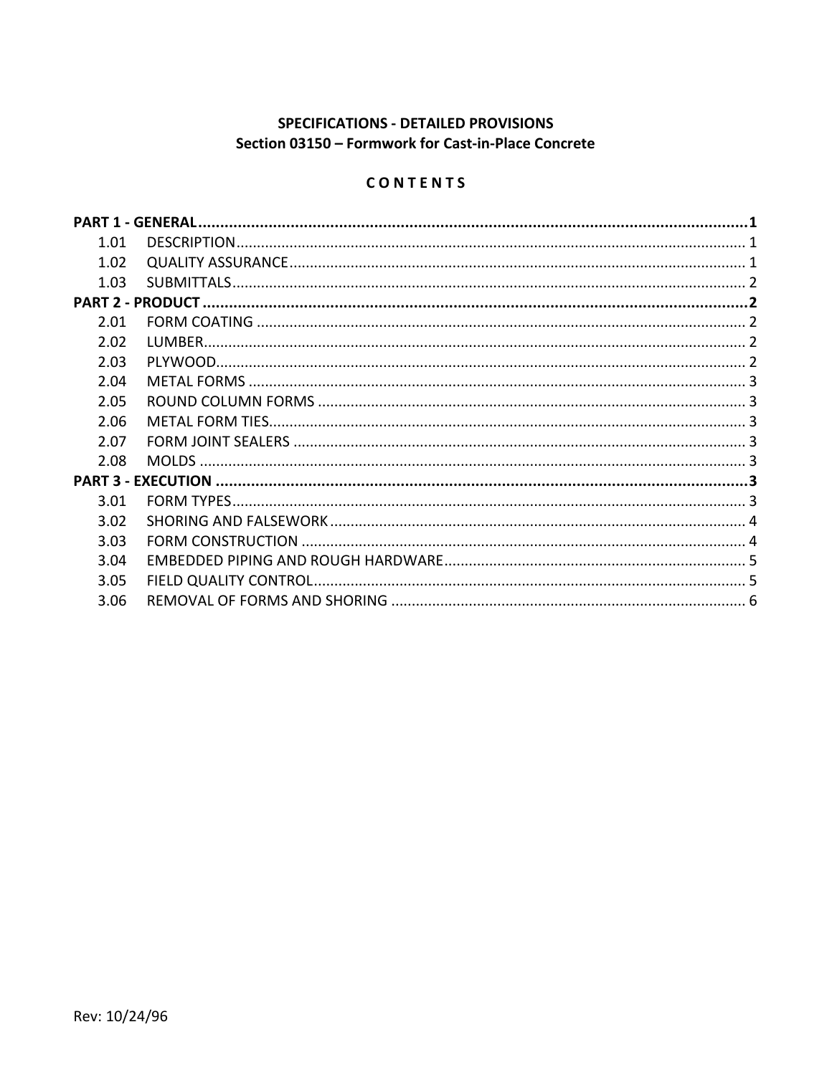# **SPECIFICATIONS - DETAILED PROVISIONS** Section 03150 - Formwork for Cast-in-Place Concrete

# CONTENTS

| 1.01 |  |
|------|--|
| 1.02 |  |
| 1.03 |  |
|      |  |
| 2.01 |  |
| 2.02 |  |
| 2.03 |  |
| 2.04 |  |
| 2.05 |  |
| 2.06 |  |
| 2.07 |  |
| 2.08 |  |
|      |  |
| 3.01 |  |
| 3.02 |  |
| 3.03 |  |
| 3.04 |  |
| 3.05 |  |
| 3.06 |  |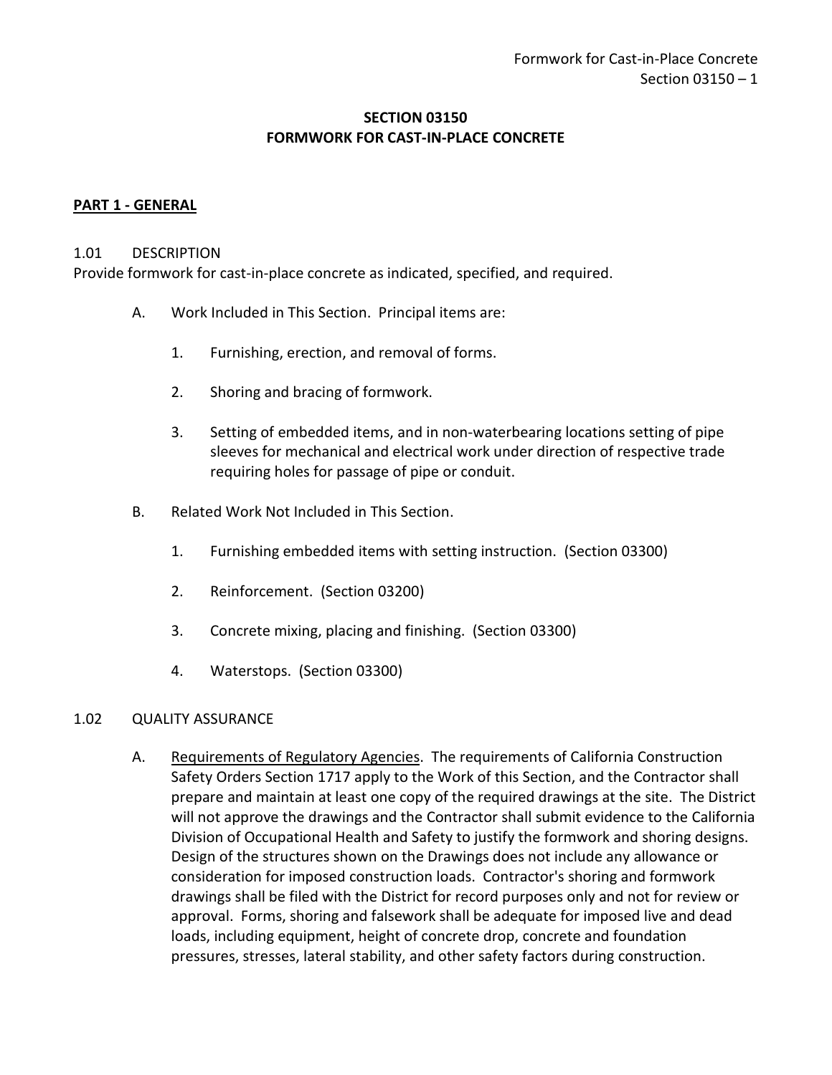### **SECTION 03150 FORMWORK FOR CAST-IN-PLACE CONCRETE**

### <span id="page-2-0"></span>**PART 1 - GENERAL**

#### <span id="page-2-1"></span>1.01 DESCRIPTION

Provide formwork for cast-in-place concrete as indicated, specified, and required.

- A. Work Included in This Section. Principal items are:
	- 1. Furnishing, erection, and removal of forms.
	- 2. Shoring and bracing of formwork.
	- 3. Setting of embedded items, and in non-waterbearing locations setting of pipe sleeves for mechanical and electrical work under direction of respective trade requiring holes for passage of pipe or conduit.
- B. Related Work Not Included in This Section.
	- 1. Furnishing embedded items with setting instruction. (Section 03300)
	- 2. Reinforcement. (Section 03200)
	- 3. Concrete mixing, placing and finishing. (Section 03300)
	- 4. Waterstops. (Section 03300)

#### <span id="page-2-2"></span>1.02 QUALITY ASSURANCE

A. Requirements of Regulatory Agencies. The requirements of California Construction Safety Orders Section 1717 apply to the Work of this Section, and the Contractor shall prepare and maintain at least one copy of the required drawings at the site. The District will not approve the drawings and the Contractor shall submit evidence to the California Division of Occupational Health and Safety to justify the formwork and shoring designs. Design of the structures shown on the Drawings does not include any allowance or consideration for imposed construction loads. Contractor's shoring and formwork drawings shall be filed with the District for record purposes only and not for review or approval. Forms, shoring and falsework shall be adequate for imposed live and dead loads, including equipment, height of concrete drop, concrete and foundation pressures, stresses, lateral stability, and other safety factors during construction.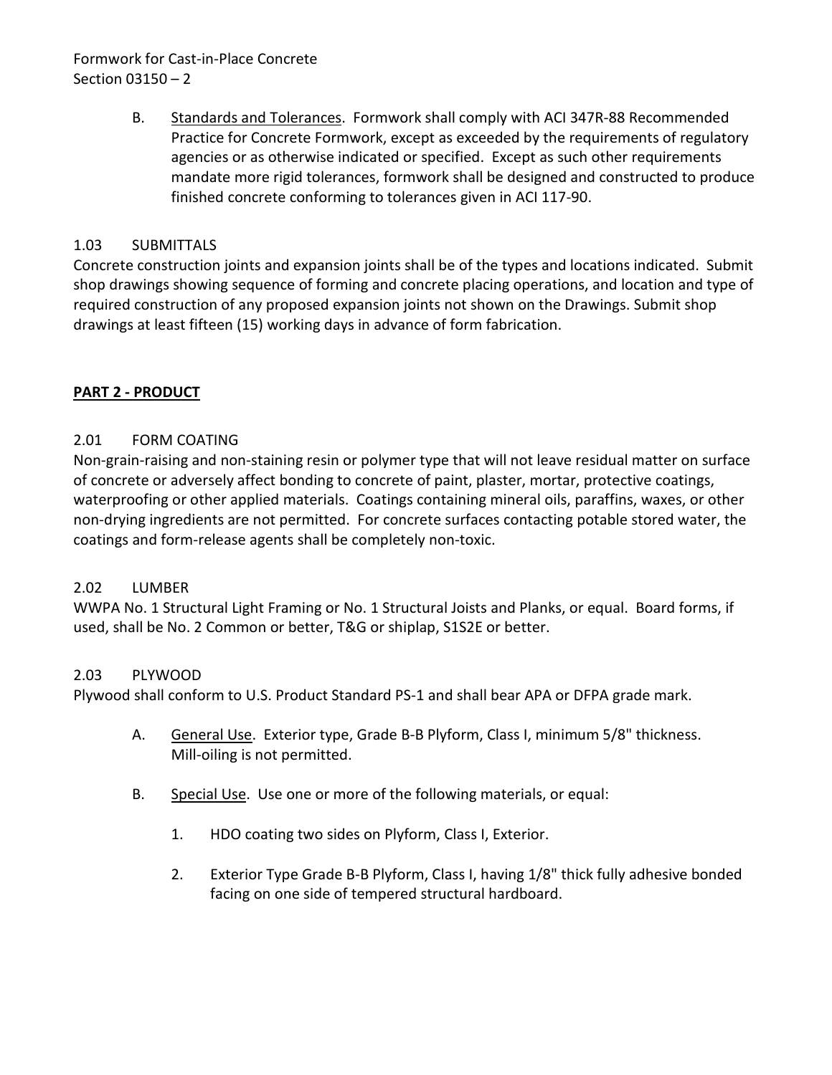# Formwork for Cast-in-Place Concrete Section 03150 – 2

B. Standards and Tolerances. Formwork shall comply with ACI 347R-88 Recommended Practice for Concrete Formwork, except as exceeded by the requirements of regulatory agencies or as otherwise indicated or specified. Except as such other requirements mandate more rigid tolerances, formwork shall be designed and constructed to produce finished concrete conforming to tolerances given in ACI 117-90.

# <span id="page-3-0"></span>1.03 SUBMITTALS

Concrete construction joints and expansion joints shall be of the types and locations indicated. Submit shop drawings showing sequence of forming and concrete placing operations, and location and type of required construction of any proposed expansion joints not shown on the Drawings. Submit shop drawings at least fifteen (15) working days in advance of form fabrication.

## <span id="page-3-1"></span>**PART 2 - PRODUCT**

## <span id="page-3-2"></span>2.01 FORM COATING

Non-grain-raising and non-staining resin or polymer type that will not leave residual matter on surface of concrete or adversely affect bonding to concrete of paint, plaster, mortar, protective coatings, waterproofing or other applied materials. Coatings containing mineral oils, paraffins, waxes, or other non-drying ingredients are not permitted. For concrete surfaces contacting potable stored water, the coatings and form-release agents shall be completely non-toxic.

### <span id="page-3-3"></span>2.02 LUMBER

WWPA No. 1 Structural Light Framing or No. 1 Structural Joists and Planks, or equal. Board forms, if used, shall be No. 2 Common or better, T&G or shiplap, S1S2E or better.

### <span id="page-3-4"></span>2.03 PLYWOOD

Plywood shall conform to U.S. Product Standard PS-1 and shall bear APA or DFPA grade mark.

- A. General Use. Exterior type, Grade B-B Plyform, Class I, minimum 5/8" thickness. Mill-oiling is not permitted.
- B. Special Use. Use one or more of the following materials, or equal:
	- 1. HDO coating two sides on Plyform, Class I, Exterior.
	- 2. Exterior Type Grade B-B Plyform, Class I, having 1/8" thick fully adhesive bonded facing on one side of tempered structural hardboard.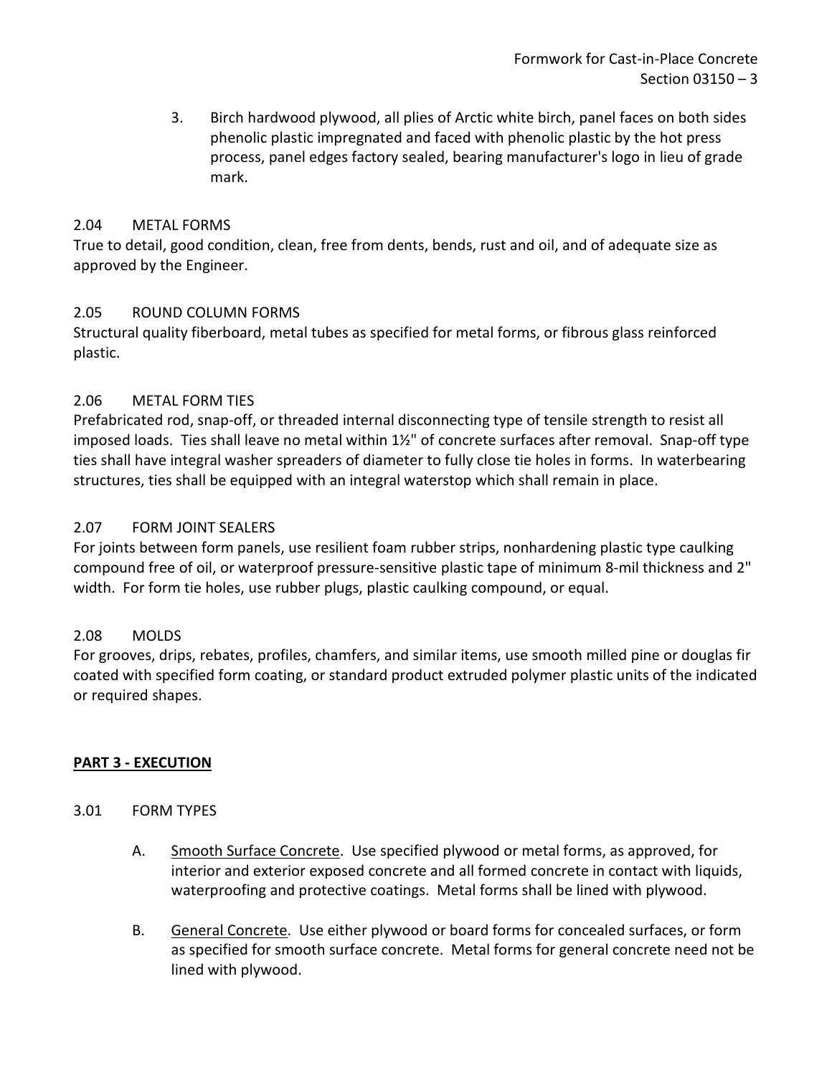3. Birch hardwood plywood, all plies of Arctic white birch, panel faces on both sides phenolic plastic impregnated and faced with phenolic plastic by the hot press process, panel edges factory sealed, bearing manufacturer's logo in lieu of grade mark.

### <span id="page-4-0"></span>2.04 METAL FORMS

True to detail, good condition, clean, free from dents, bends, rust and oil, and of adequate size as approved by the Engineer.

## <span id="page-4-1"></span>2.05 ROUND COLUMN FORMS

Structural quality fiberboard, metal tubes as specified for metal forms, or fibrous glass reinforced plastic.

## <span id="page-4-2"></span>2.06 METAL FORM TIES

Prefabricated rod, snap-off, or threaded internal disconnecting type of tensile strength to resist all imposed loads. Ties shall leave no metal within 1½" of concrete surfaces after removal. Snap-off type ties shall have integral washer spreaders of diameter to fully close tie holes in forms. In waterbearing structures, ties shall be equipped with an integral waterstop which shall remain in place.

## <span id="page-4-3"></span>2.07 FORM JOINT SEALERS

For joints between form panels, use resilient foam rubber strips, nonhardening plastic type caulking compound free of oil, or waterproof pressure-sensitive plastic tape of minimum 8-mil thickness and 2" width. For form tie holes, use rubber plugs, plastic caulking compound, or equal.

### <span id="page-4-4"></span>2.08 MOLDS

For grooves, drips, rebates, profiles, chamfers, and similar items, use smooth milled pine or douglas fir coated with specified form coating, or standard product extruded polymer plastic units of the indicated or required shapes.

### <span id="page-4-5"></span>**PART 3 - EXECUTION**

### <span id="page-4-6"></span>3.01 FORM TYPES

- A. Smooth Surface Concrete. Use specified plywood or metal forms, as approved, for interior and exterior exposed concrete and all formed concrete in contact with liquids, waterproofing and protective coatings. Metal forms shall be lined with plywood.
- B. General Concrete. Use either plywood or board forms for concealed surfaces, or form as specified for smooth surface concrete. Metal forms for general concrete need not be lined with plywood.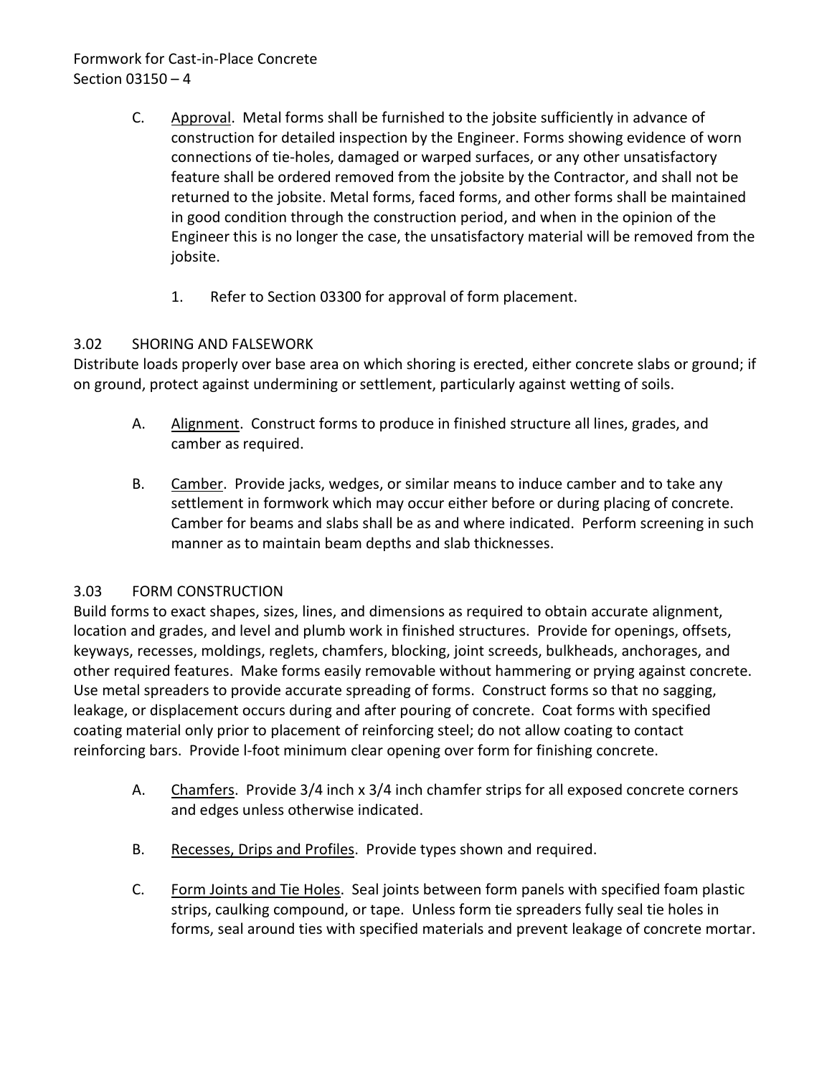# Formwork for Cast-in-Place Concrete Section 03150 – 4

- C. Approval. Metal forms shall be furnished to the jobsite sufficiently in advance of construction for detailed inspection by the Engineer. Forms showing evidence of worn connections of tie-holes, damaged or warped surfaces, or any other unsatisfactory feature shall be ordered removed from the jobsite by the Contractor, and shall not be returned to the jobsite. Metal forms, faced forms, and other forms shall be maintained in good condition through the construction period, and when in the opinion of the Engineer this is no longer the case, the unsatisfactory material will be removed from the jobsite.
	- 1. Refer to Section 03300 for approval of form placement.

## <span id="page-5-0"></span>3.02 SHORING AND FALSEWORK

Distribute loads properly over base area on which shoring is erected, either concrete slabs or ground; if on ground, protect against undermining or settlement, particularly against wetting of soils.

- A. Alignment. Construct forms to produce in finished structure all lines, grades, and camber as required.
- B. Camber. Provide jacks, wedges, or similar means to induce camber and to take any settlement in formwork which may occur either before or during placing of concrete. Camber for beams and slabs shall be as and where indicated. Perform screening in such manner as to maintain beam depths and slab thicknesses.

### <span id="page-5-1"></span>3.03 FORM CONSTRUCTION

Build forms to exact shapes, sizes, lines, and dimensions as required to obtain accurate alignment, location and grades, and level and plumb work in finished structures. Provide for openings, offsets, keyways, recesses, moldings, reglets, chamfers, blocking, joint screeds, bulkheads, anchorages, and other required features. Make forms easily removable without hammering or prying against concrete. Use metal spreaders to provide accurate spreading of forms. Construct forms so that no sagging, leakage, or displacement occurs during and after pouring of concrete. Coat forms with specified coating material only prior to placement of reinforcing steel; do not allow coating to contact reinforcing bars. Provide l-foot minimum clear opening over form for finishing concrete.

- A. Chamfers. Provide 3/4 inch x 3/4 inch chamfer strips for all exposed concrete corners and edges unless otherwise indicated.
- B. Recesses, Drips and Profiles. Provide types shown and required.
- C. Form Joints and Tie Holes. Seal joints between form panels with specified foam plastic strips, caulking compound, or tape. Unless form tie spreaders fully seal tie holes in forms, seal around ties with specified materials and prevent leakage of concrete mortar.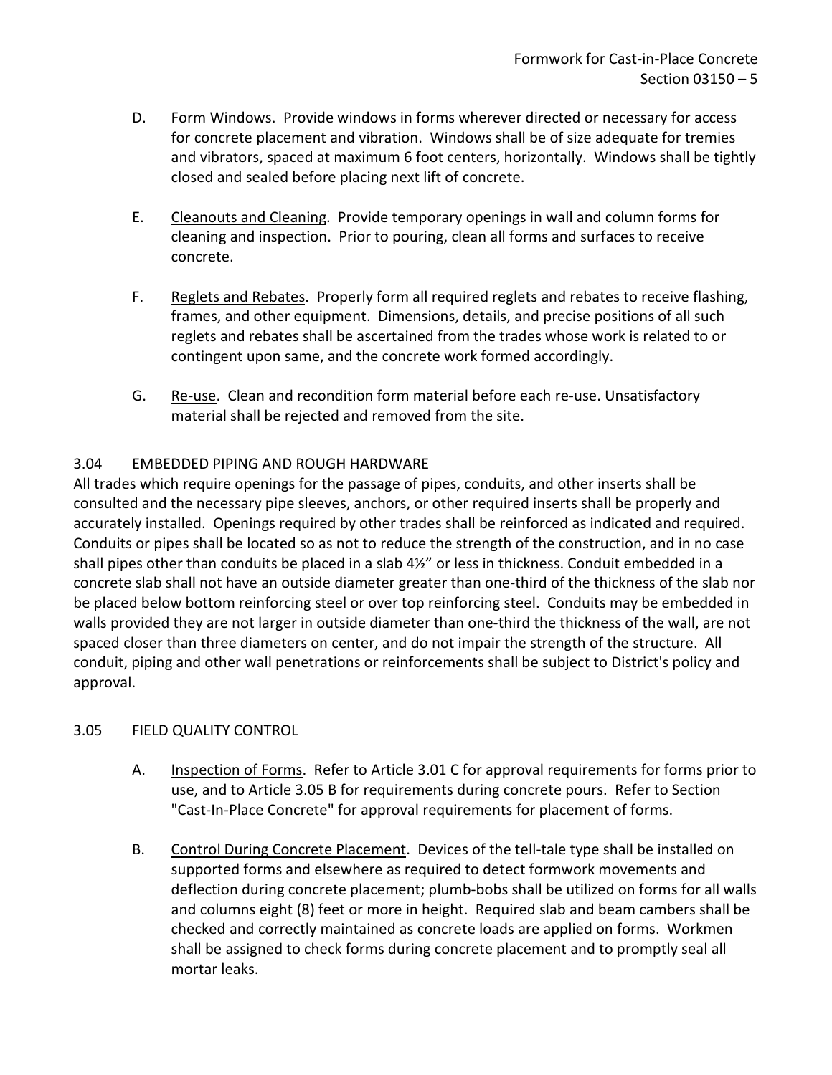- D. Form Windows. Provide windows in forms wherever directed or necessary for access for concrete placement and vibration. Windows shall be of size adequate for tremies and vibrators, spaced at maximum 6 foot centers, horizontally. Windows shall be tightly closed and sealed before placing next lift of concrete.
- E. Cleanouts and Cleaning. Provide temporary openings in wall and column forms for cleaning and inspection. Prior to pouring, clean all forms and surfaces to receive concrete.
- F. Reglets and Rebates. Properly form all required reglets and rebates to receive flashing, frames, and other equipment. Dimensions, details, and precise positions of all such reglets and rebates shall be ascertained from the trades whose work is related to or contingent upon same, and the concrete work formed accordingly.
- G. Re-use. Clean and recondition form material before each re-use. Unsatisfactory material shall be rejected and removed from the site.

# <span id="page-6-0"></span>3.04 EMBEDDED PIPING AND ROUGH HARDWARE

All trades which require openings for the passage of pipes, conduits, and other inserts shall be consulted and the necessary pipe sleeves, anchors, or other required inserts shall be properly and accurately installed. Openings required by other trades shall be reinforced as indicated and required. Conduits or pipes shall be located so as not to reduce the strength of the construction, and in no case shall pipes other than conduits be placed in a slab 4½" or less in thickness. Conduit embedded in a concrete slab shall not have an outside diameter greater than one-third of the thickness of the slab nor be placed below bottom reinforcing steel or over top reinforcing steel. Conduits may be embedded in walls provided they are not larger in outside diameter than one-third the thickness of the wall, are not spaced closer than three diameters on center, and do not impair the strength of the structure. All conduit, piping and other wall penetrations or reinforcements shall be subject to District's policy and approval.

### <span id="page-6-1"></span>3.05 FIELD QUALITY CONTROL

- A. Inspection of Forms. Refer to Article 3.01 C for approval requirements for forms prior to use, and to Article 3.05 B for requirements during concrete pours. Refer to Section "Cast-In-Place Concrete" for approval requirements for placement of forms.
- B. Control During Concrete Placement. Devices of the tell-tale type shall be installed on supported forms and elsewhere as required to detect formwork movements and deflection during concrete placement; plumb-bobs shall be utilized on forms for all walls and columns eight (8) feet or more in height. Required slab and beam cambers shall be checked and correctly maintained as concrete loads are applied on forms. Workmen shall be assigned to check forms during concrete placement and to promptly seal all mortar leaks.